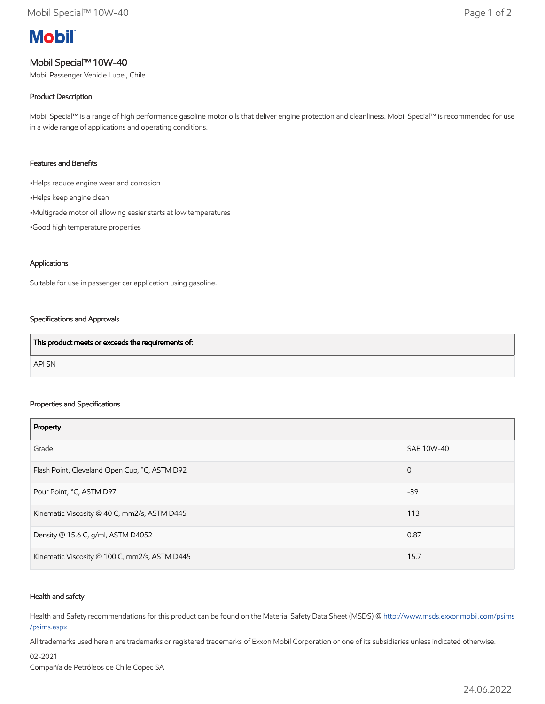# **Mobil**

## Mobil Special™ 10W-40

Mobil Passenger Vehicle Lube , Chile

#### Product Description

Mobil Special™ is a range of high performance gasoline motor oils that deliver engine protection and cleanliness. Mobil Special™ is recommended for use in a wide range of applications and operating conditions.

#### Features and Benefits

•Helps reduce engine wear and corrosion

- •Helps keep engine clean
- •Multigrade motor oil allowing easier starts at low temperatures
- •Good high temperature properties

#### Applications

Suitable for use in passenger car application using gasoline.

#### Specifications and Approvals

| This product meets or exceeds the requirements of: |  |
|----------------------------------------------------|--|
| API SN                                             |  |

#### Properties and Specifications

| Property                                      |             |
|-----------------------------------------------|-------------|
| Grade                                         | SAE 10W-40  |
| Flash Point, Cleveland Open Cup, °C, ASTM D92 | $\mathbf 0$ |
| Pour Point, °C, ASTM D97                      | $-39$       |
| Kinematic Viscosity @ 40 C, mm2/s, ASTM D445  | 113         |
| Density @ 15.6 C, g/ml, ASTM D4052            | 0.87        |
| Kinematic Viscosity @ 100 C, mm2/s, ASTM D445 | 15.7        |

#### Health and safety

Health and Safety recommendations for this product can be found on the Material Safety Data Sheet (MSDS) @ [http://www.msds.exxonmobil.com/psims](http://www.msds.exxonmobil.com/psims/psims.aspx) /psims.aspx

All trademarks used herein are trademarks or registered trademarks of Exxon Mobil Corporation or one of its subsidiaries unless indicated otherwise.

02-2021 Compañía de Petróleos de Chile Copec SA